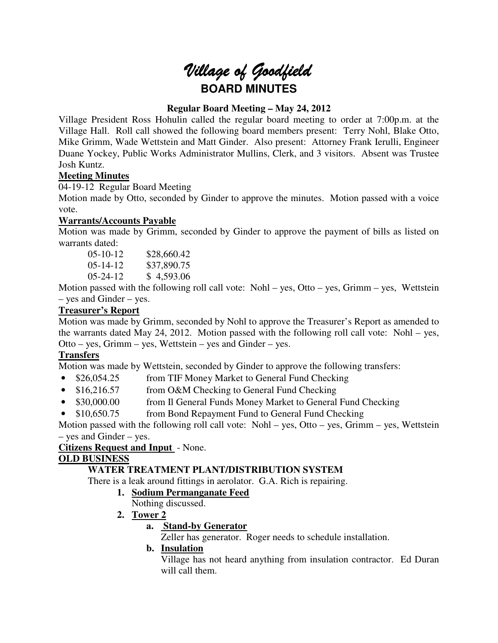# Village of Goodfield **BOARD MINUTES**

# **Regular Board Meeting – May 24, 2012**

Village President Ross Hohulin called the regular board meeting to order at 7:00p.m. at the Village Hall. Roll call showed the following board members present: Terry Nohl, Blake Otto, Mike Grimm, Wade Wettstein and Matt Ginder. Also present: Attorney Frank Ierulli, Engineer Duane Yockey, Public Works Administrator Mullins, Clerk, and 3 visitors. Absent was Trustee Josh Kuntz.

# **Meeting Minutes**

04-19-12 Regular Board Meeting

Motion made by Otto, seconded by Ginder to approve the minutes. Motion passed with a voice vote.

# **Warrants/Accounts Payable**

Motion was made by Grimm, seconded by Ginder to approve the payment of bills as listed on warrants dated:

05-10-12 \$28,660.42<br>05-14-12 \$37.890.75 \$37,890.75 05-24-12 \$ 4,593.06

Motion passed with the following roll call vote: Nohl – yes, Otto – yes, Grimm – yes, Wettstein – yes and Ginder – yes.

# **Treasurer's Report**

Motion was made by Grimm, seconded by Nohl to approve the Treasurer's Report as amended to the warrants dated May 24, 2012. Motion passed with the following roll call vote: Nohl – yes, Otto – yes, Grimm – yes, Wettstein – yes and Ginder – yes.

# **Transfers**

Motion was made by Wettstein, seconded by Ginder to approve the following transfers:

- \$26,054.25 from TIF Money Market to General Fund Checking
- \$16,216.57 from O&M Checking to General Fund Checking
- \$30,000.00 from Il General Funds Money Market to General Fund Checking
- \$10,650.75 from Bond Repayment Fund to General Fund Checking

Motion passed with the following roll call vote: Nohl – yes, Otto – yes, Grimm – yes, Wettstein – yes and Ginder – yes.

# **Citizens Request and Input** - None.

# **OLD BUSINESS**

# **WATER TREATMENT PLANT/DISTRIBUTION SYSTEM**

There is a leak around fittings in aerolator. G.A. Rich is repairing.

- **1. Sodium Permanganate Feed**
	- Nothing discussed.
- **2. Tower 2** 
	- **a. Stand-by Generator**

Zeller has generator. Roger needs to schedule installation.

# **b. Insulation**

Village has not heard anything from insulation contractor. Ed Duran will call them.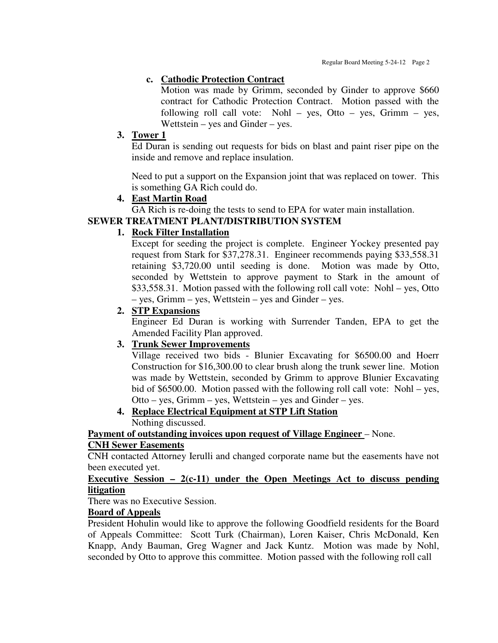#### **c. Cathodic Protection Contract**

Motion was made by Grimm, seconded by Ginder to approve \$660 contract for Cathodic Protection Contract. Motion passed with the following roll call vote: Nohl – yes, Otto – yes, Grimm – yes, Wettstein – yes and Ginder – yes.

#### **3. Tower 1**

Ed Duran is sending out requests for bids on blast and paint riser pipe on the inside and remove and replace insulation.

Need to put a support on the Expansion joint that was replaced on tower. This is something GA Rich could do.

## **4. East Martin Road**

GA Rich is re-doing the tests to send to EPA for water main installation.

#### **SEWER TREATMENT PLANT/DISTRIBUTION SYSTEM**

## **1. Rock Filter Installation**

Except for seeding the project is complete. Engineer Yockey presented pay request from Stark for \$37,278.31. Engineer recommends paying \$33,558.31 retaining \$3,720.00 until seeding is done. Motion was made by Otto, seconded by Wettstein to approve payment to Stark in the amount of \$33,558.31. Motion passed with the following roll call vote: Nohl – yes, Otto – yes, Grimm – yes, Wettstein – yes and Ginder – yes.

#### **2. STP Expansions**

Engineer Ed Duran is working with Surrender Tanden, EPA to get the Amended Facility Plan approved.

## **3. Trunk Sewer Improvements**

Village received two bids - Blunier Excavating for \$6500.00 and Hoerr Construction for \$16,300.00 to clear brush along the trunk sewer line. Motion was made by Wettstein, seconded by Grimm to approve Blunier Excavating bid of \$6500.00. Motion passed with the following roll call vote: Nohl – yes, Otto – yes, Grimm – yes, Wettstein – yes and Ginder – yes.

# **4. Replace Electrical Equipment at STP Lift Station**

Nothing discussed.

**Payment of outstanding invoices upon request of Village Engineer – None.** 

#### **CNH Sewer Easements**

CNH contacted Attorney Ierulli and changed corporate name but the easements have not been executed yet.

#### **Executive Session – 2(c-11) under the Open Meetings Act to discuss pending litigation**

There was no Executive Session.

#### **Board of Appeals**

President Hohulin would like to approve the following Goodfield residents for the Board of Appeals Committee: Scott Turk (Chairman), Loren Kaiser, Chris McDonald, Ken Knapp, Andy Bauman, Greg Wagner and Jack Kuntz. Motion was made by Nohl, seconded by Otto to approve this committee. Motion passed with the following roll call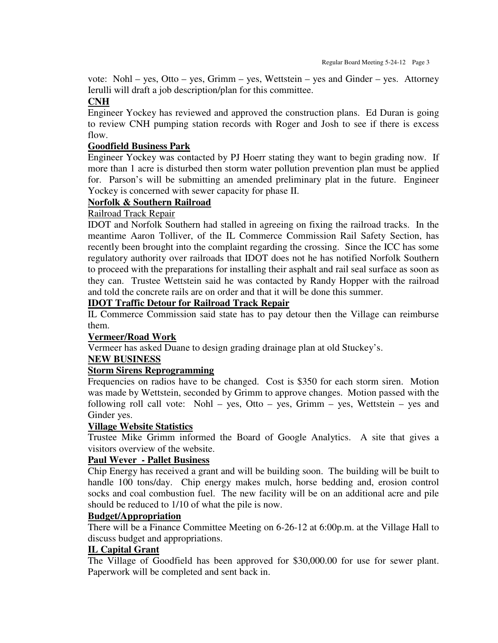vote: Nohl – yes, Otto – yes, Grimm – yes, Wettstein – yes and Ginder – yes. Attorney Ierulli will draft a job description/plan for this committee.

## **CNH**

Engineer Yockey has reviewed and approved the construction plans. Ed Duran is going to review CNH pumping station records with Roger and Josh to see if there is excess flow.

## **Goodfield Business Park**

Engineer Yockey was contacted by PJ Hoerr stating they want to begin grading now. If more than 1 acre is disturbed then storm water pollution prevention plan must be applied for. Parson's will be submitting an amended preliminary plat in the future. Engineer Yockey is concerned with sewer capacity for phase II.

## **Norfolk & Southern Railroad**

## Railroad Track Repair

IDOT and Norfolk Southern had stalled in agreeing on fixing the railroad tracks. In the meantime Aaron Tolliver, of the IL Commerce Commission Rail Safety Section, has recently been brought into the complaint regarding the crossing. Since the ICC has some regulatory authority over railroads that IDOT does not he has notified Norfolk Southern to proceed with the preparations for installing their asphalt and rail seal surface as soon as they can. Trustee Wettstein said he was contacted by Randy Hopper with the railroad and told the concrete rails are on order and that it will be done this summer.

## **IDOT Traffic Detour for Railroad Track Repair**

IL Commerce Commission said state has to pay detour then the Village can reimburse them.

## **Vermeer/Road Work**

Vermeer has asked Duane to design grading drainage plan at old Stuckey's.

## **NEW BUSINESS**

## **Storm Sirens Reprogramming**

Frequencies on radios have to be changed. Cost is \$350 for each storm siren. Motion was made by Wettstein, seconded by Grimm to approve changes. Motion passed with the following roll call vote: Nohl – yes, Otto – yes, Grimm – yes, Wettstein – yes and Ginder yes.

## **Village Website Statistics**

Trustee Mike Grimm informed the Board of Google Analytics. A site that gives a visitors overview of the website.

## **Paul Wever - Pallet Business**

Chip Energy has received a grant and will be building soon. The building will be built to handle 100 tons/day. Chip energy makes mulch, horse bedding and, erosion control socks and coal combustion fuel. The new facility will be on an additional acre and pile should be reduced to 1/10 of what the pile is now.

## **Budget/Appropriation**

There will be a Finance Committee Meeting on 6-26-12 at 6:00p.m. at the Village Hall to discuss budget and appropriations.

## **IL Capital Grant**

The Village of Goodfield has been approved for \$30,000.00 for use for sewer plant. Paperwork will be completed and sent back in.